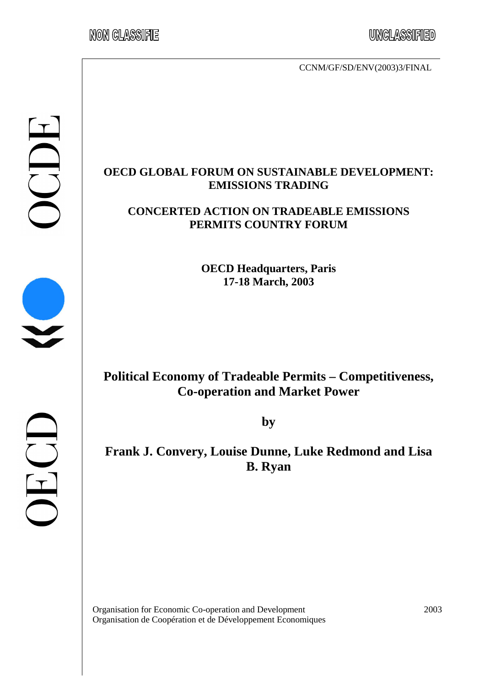# HCDE OECD

# **OECD GLOBAL FORUM ON SUSTAINABLE DEVELOPMENT: EMISSIONS TRADING**

# **CONCERTED ACTION ON TRADEABLE EMISSIONS PERMITS COUNTRY FORUM**

**OECD Headquarters, Paris 17-18 March, 2003** 

# **Political Economy of Tradeable Permits – Competitiveness, Co-operation and Market Power**

**by** 

**Frank J. Convery, Louise Dunne, Luke Redmond and Lisa B. Ryan** 

Organisation for Economic Co-operation and Development 2003 Organisation de Coopération et de Développement Economiques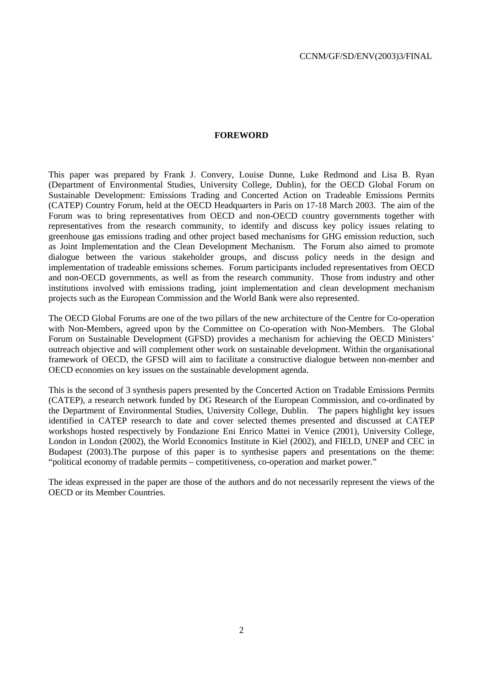### **FOREWORD**

This paper was prepared by Frank J. Convery, Louise Dunne, Luke Redmond and Lisa B. Ryan (Department of Environmental Studies, University College, Dublin), for the OECD Global Forum on Sustainable Development: Emissions Trading and Concerted Action on Tradeable Emissions Permits (CATEP) Country Forum, held at the OECD Headquarters in Paris on 17-18 March 2003. The aim of the Forum was to bring representatives from OECD and non-OECD country governments together with representatives from the research community, to identify and discuss key policy issues relating to greenhouse gas emissions trading and other project based mechanisms for GHG emission reduction, such as Joint Implementation and the Clean Development Mechanism. The Forum also aimed to promote dialogue between the various stakeholder groups, and discuss policy needs in the design and implementation of tradeable emissions schemes. Forum participants included representatives from OECD and non-OECD governments, as well as from the research community. Those from industry and other institutions involved with emissions trading, joint implementation and clean development mechanism projects such as the European Commission and the World Bank were also represented.

The OECD Global Forums are one of the two pillars of the new architecture of the Centre for Co-operation with Non-Members, agreed upon by the Committee on Co-operation with Non-Members. The Global Forum on Sustainable Development (GFSD) provides a mechanism for achieving the OECD Ministers' outreach objective and will complement other work on sustainable development. Within the organisational framework of OECD, the GFSD will aim to facilitate a constructive dialogue between non-member and OECD economies on key issues on the sustainable development agenda.

This is the second of 3 synthesis papers presented by the Concerted Action on Tradable Emissions Permits (CATEP), a research network funded by DG Research of the European Commission, and co-ordinated by the Department of Environmental Studies, University College, Dublin. The papers highlight key issues identified in CATEP research to date and cover selected themes presented and discussed at CATEP workshops hosted respectively by Fondazione Eni Enrico Mattei in Venice (2001), University College, London in London (2002), the World Economics Institute in Kiel (2002), and FIELD, UNEP and CEC in Budapest (2003).The purpose of this paper is to synthesise papers and presentations on the theme: "political economy of tradable permits – competitiveness, co-operation and market power."

The ideas expressed in the paper are those of the authors and do not necessarily represent the views of the OECD or its Member Countries.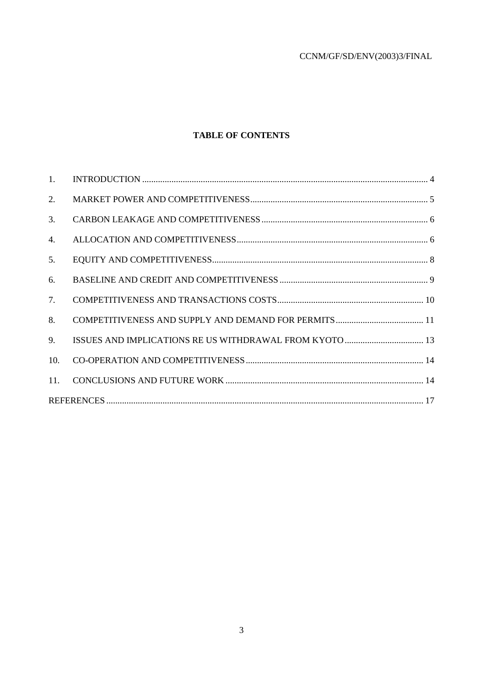# **TABLE OF CONTENTS**

| 1.  |  |
|-----|--|
| 2.  |  |
| 3.  |  |
| 4.  |  |
| 5.  |  |
| 6.  |  |
| 7.  |  |
| 8.  |  |
| 9.  |  |
| 10. |  |
| 11. |  |
|     |  |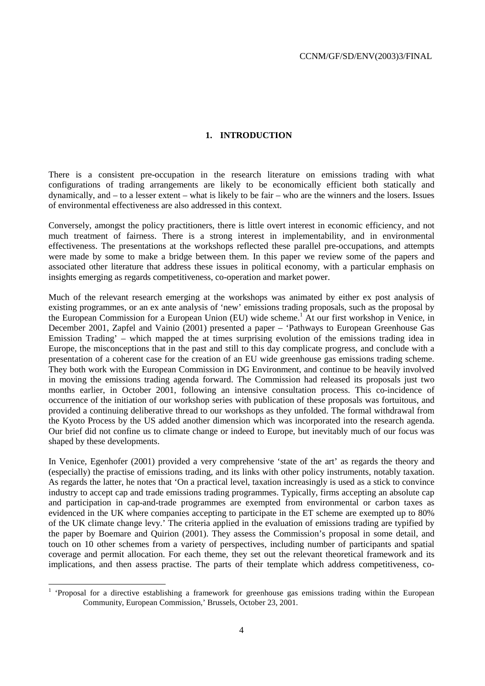# **1. INTRODUCTION**

There is a consistent pre-occupation in the research literature on emissions trading with what configurations of trading arrangements are likely to be economically efficient both statically and dynamically, and – to a lesser extent – what is likely to be fair – who are the winners and the losers. Issues of environmental effectiveness are also addressed in this context.

Conversely, amongst the policy practitioners, there is little overt interest in economic efficiency, and not much treatment of fairness. There is a strong interest in implementability, and in environmental effectiveness. The presentations at the workshops reflected these parallel pre-occupations, and attempts were made by some to make a bridge between them. In this paper we review some of the papers and associated other literature that address these issues in political economy, with a particular emphasis on insights emerging as regards competitiveness, co-operation and market power.

Much of the relevant research emerging at the workshops was animated by either ex post analysis of existing programmes, or an ex ante analysis of 'new' emissions trading proposals, such as the proposal by the European Commission for a European Union (EU) wide scheme.<sup>1</sup> At our first workshop in Venice, in December 2001, Zapfel and Vainio (2001) presented a paper – 'Pathways to European Greenhouse Gas Emission Trading' – which mapped the at times surprising evolution of the emissions trading idea in Europe, the misconceptions that in the past and still to this day complicate progress, and conclude with a presentation of a coherent case for the creation of an EU wide greenhouse gas emissions trading scheme. They both work with the European Commission in DG Environment, and continue to be heavily involved in moving the emissions trading agenda forward. The Commission had released its proposals just two months earlier, in October 2001, following an intensive consultation process. This co-incidence of occurrence of the initiation of our workshop series with publication of these proposals was fortuitous, and provided a continuing deliberative thread to our workshops as they unfolded. The formal withdrawal from the Kyoto Process by the US added another dimension which was incorporated into the research agenda. Our brief did not confine us to climate change or indeed to Europe, but inevitably much of our focus was shaped by these developments.

In Venice, Egenhofer (2001) provided a very comprehensive 'state of the art' as regards the theory and (especially) the practise of emissions trading, and its links with other policy instruments, notably taxation. As regards the latter, he notes that 'On a practical level, taxation increasingly is used as a stick to convince industry to accept cap and trade emissions trading programmes. Typically, firms accepting an absolute cap and participation in cap-and-trade programmes are exempted from environmental or carbon taxes as evidenced in the UK where companies accepting to participate in the ET scheme are exempted up to 80% of the UK climate change levy.' The criteria applied in the evaluation of emissions trading are typified by the paper by Boemare and Quirion (2001). They assess the Commission's proposal in some detail, and touch on 10 other schemes from a variety of perspectives, including number of participants and spatial coverage and permit allocation. For each theme, they set out the relevant theoretical framework and its implications, and then assess practise. The parts of their template which address competitiveness, co-

The temporal for a directive establishing a framework for greenhouse gas emissions trading within the European Community, European Commission,' Brussels, October 23, 2001.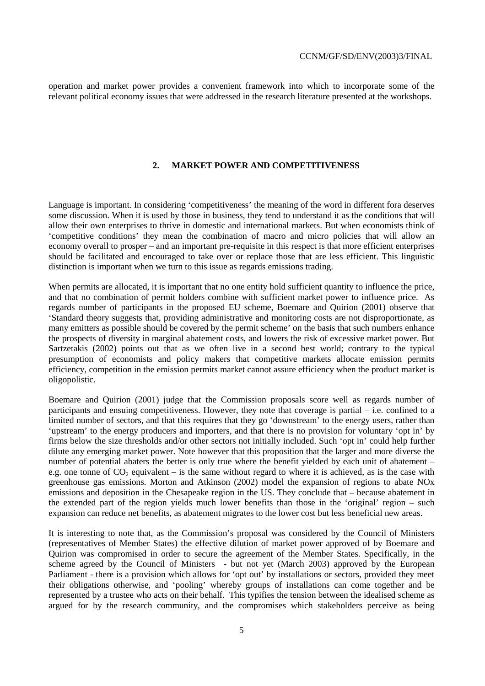operation and market power provides a convenient framework into which to incorporate some of the relevant political economy issues that were addressed in the research literature presented at the workshops.

# **2. MARKET POWER AND COMPETITIVENESS**

Language is important. In considering 'competitiveness' the meaning of the word in different fora deserves some discussion. When it is used by those in business, they tend to understand it as the conditions that will allow their own enterprises to thrive in domestic and international markets. But when economists think of 'competitive conditions' they mean the combination of macro and micro policies that will allow an economy overall to prosper – and an important pre-requisite in this respect is that more efficient enterprises should be facilitated and encouraged to take over or replace those that are less efficient. This linguistic distinction is important when we turn to this issue as regards emissions trading.

When permits are allocated, it is important that no one entity hold sufficient quantity to influence the price, and that no combination of permit holders combine with sufficient market power to influence price. As regards number of participants in the proposed EU scheme, Boemare and Quirion (2001) observe that 'Standard theory suggests that, providing administrative and monitoring costs are not disproportionate, as many emitters as possible should be covered by the permit scheme' on the basis that such numbers enhance the prospects of diversity in marginal abatement costs, and lowers the risk of excessive market power. But Sartzetakis (2002) points out that as we often live in a second best world; contrary to the typical presumption of economists and policy makers that competitive markets allocate emission permits efficiency, competition in the emission permits market cannot assure efficiency when the product market is oligopolistic.

Boemare and Quirion (2001) judge that the Commission proposals score well as regards number of participants and ensuing competitiveness. However, they note that coverage is partial – i.e. confined to a limited number of sectors, and that this requires that they go 'downstream' to the energy users, rather than 'upstream' to the energy producers and importers, and that there is no provision for voluntary 'opt in' by firms below the size thresholds and/or other sectors not initially included. Such 'opt in' could help further dilute any emerging market power. Note however that this proposition that the larger and more diverse the number of potential abaters the better is only true where the benefit yielded by each unit of abatement – e.g. one tonne of  $CO_2$  equivalent – is the same without regard to where it is achieved, as is the case with greenhouse gas emissions. Morton and Atkinson (2002) model the expansion of regions to abate NOx emissions and deposition in the Chesapeake region in the US. They conclude that – because abatement in the extended part of the region yields much lower benefits than those in the 'original' region – such expansion can reduce net benefits, as abatement migrates to the lower cost but less beneficial new areas.

It is interesting to note that, as the Commission's proposal was considered by the Council of Ministers (representatives of Member States) the effective dilution of market power approved of by Boemare and Quirion was compromised in order to secure the agreement of the Member States. Specifically, in the scheme agreed by the Council of Ministers - but not yet (March 2003) approved by the European Parliament - there is a provision which allows for 'opt out' by installations or sectors, provided they meet their obligations otherwise, and 'pooling' whereby groups of installations can come together and be represented by a trustee who acts on their behalf. This typifies the tension between the idealised scheme as argued for by the research community, and the compromises which stakeholders perceive as being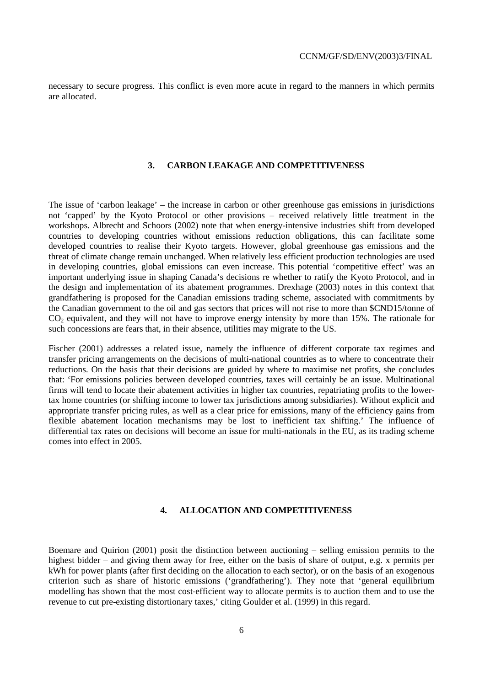necessary to secure progress. This conflict is even more acute in regard to the manners in which permits are allocated.

# **3. CARBON LEAKAGE AND COMPETITIVENESS**

The issue of 'carbon leakage' – the increase in carbon or other greenhouse gas emissions in jurisdictions not 'capped' by the Kyoto Protocol or other provisions – received relatively little treatment in the workshops. Albrecht and Schoors (2002) note that when energy-intensive industries shift from developed countries to developing countries without emissions reduction obligations, this can facilitate some developed countries to realise their Kyoto targets. However, global greenhouse gas emissions and the threat of climate change remain unchanged. When relatively less efficient production technologies are used in developing countries, global emissions can even increase. This potential 'competitive effect' was an important underlying issue in shaping Canada's decisions re whether to ratify the Kyoto Protocol, and in the design and implementation of its abatement programmes. Drexhage (2003) notes in this context that grandfathering is proposed for the Canadian emissions trading scheme, associated with commitments by the Canadian government to the oil and gas sectors that prices will not rise to more than \$CND15/tonne of CO<sub>2</sub> equivalent, and they will not have to improve energy intensity by more than 15%. The rationale for such concessions are fears that, in their absence, utilities may migrate to the US.

Fischer (2001) addresses a related issue, namely the influence of different corporate tax regimes and transfer pricing arrangements on the decisions of multi-national countries as to where to concentrate their reductions. On the basis that their decisions are guided by where to maximise net profits, she concludes that: 'For emissions policies between developed countries, taxes will certainly be an issue. Multinational firms will tend to locate their abatement activities in higher tax countries, repatriating profits to the lowertax home countries (or shifting income to lower tax jurisdictions among subsidiaries). Without explicit and appropriate transfer pricing rules, as well as a clear price for emissions, many of the efficiency gains from flexible abatement location mechanisms may be lost to inefficient tax shifting.' The influence of differential tax rates on decisions will become an issue for multi-nationals in the EU, as its trading scheme comes into effect in 2005.

### **4. ALLOCATION AND COMPETITIVENESS**

Boemare and Quirion (2001) posit the distinction between auctioning – selling emission permits to the highest bidder – and giving them away for free, either on the basis of share of output, e.g. x permits per kWh for power plants (after first deciding on the allocation to each sector), or on the basis of an exogenous criterion such as share of historic emissions ('grandfathering'). They note that 'general equilibrium modelling has shown that the most cost-efficient way to allocate permits is to auction them and to use the revenue to cut pre-existing distortionary taxes,' citing Goulder et al. (1999) in this regard.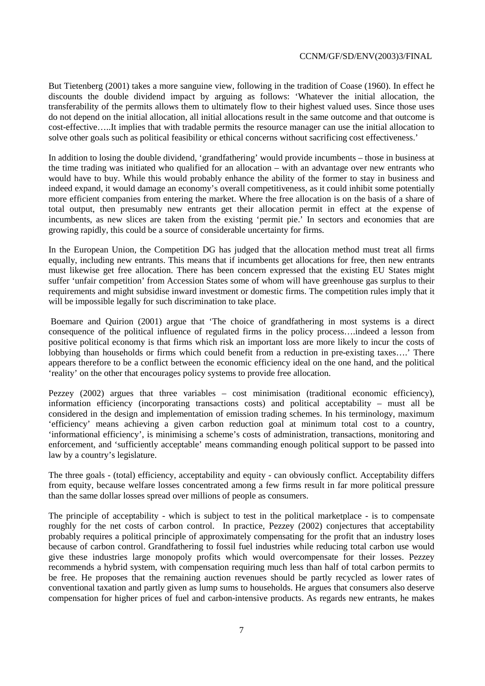But Tietenberg (2001) takes a more sanguine view, following in the tradition of Coase (1960). In effect he discounts the double dividend impact by arguing as follows: 'Whatever the initial allocation, the transferability of the permits allows them to ultimately flow to their highest valued uses. Since those uses do not depend on the initial allocation, all initial allocations result in the same outcome and that outcome is cost-effective…..It implies that with tradable permits the resource manager can use the initial allocation to solve other goals such as political feasibility or ethical concerns without sacrificing cost effectiveness.'

In addition to losing the double dividend, 'grandfathering' would provide incumbents – those in business at the time trading was initiated who qualified for an allocation – with an advantage over new entrants who would have to buy. While this would probably enhance the ability of the former to stay in business and indeed expand, it would damage an economy's overall competitiveness, as it could inhibit some potentially more efficient companies from entering the market. Where the free allocation is on the basis of a share of total output, then presumably new entrants get their allocation permit in effect at the expense of incumbents, as new slices are taken from the existing 'permit pie.' In sectors and economies that are growing rapidly, this could be a source of considerable uncertainty for firms.

In the European Union, the Competition DG has judged that the allocation method must treat all firms equally, including new entrants. This means that if incumbents get allocations for free, then new entrants must likewise get free allocation. There has been concern expressed that the existing EU States might suffer 'unfair competition' from Accession States some of whom will have greenhouse gas surplus to their requirements and might subsidise inward investment or domestic firms. The competition rules imply that it will be impossible legally for such discrimination to take place.

 Boemare and Quirion (2001) argue that 'The choice of grandfathering in most systems is a direct consequence of the political influence of regulated firms in the policy process….indeed a lesson from positive political economy is that firms which risk an important loss are more likely to incur the costs of lobbying than households or firms which could benefit from a reduction in pre-existing taxes….' There appears therefore to be a conflict between the economic efficiency ideal on the one hand, and the political 'reality' on the other that encourages policy systems to provide free allocation.

Pezzey (2002) argues that three variables – cost minimisation (traditional economic efficiency), information efficiency (incorporating transactions costs) and political acceptability – must all be considered in the design and implementation of emission trading schemes. In his terminology, maximum 'efficiency' means achieving a given carbon reduction goal at minimum total cost to a country, 'informational efficiency', is minimising a scheme's costs of administration, transactions, monitoring and enforcement, and 'sufficiently acceptable' means commanding enough political support to be passed into law by a country's legislature.

The three goals - (total) efficiency, acceptability and equity - can obviously conflict. Acceptability differs from equity, because welfare losses concentrated among a few firms result in far more political pressure than the same dollar losses spread over millions of people as consumers.

The principle of acceptability - which is subject to test in the political marketplace - is to compensate roughly for the net costs of carbon control. In practice, Pezzey (2002) conjectures that acceptability probably requires a political principle of approximately compensating for the profit that an industry loses because of carbon control. Grandfathering to fossil fuel industries while reducing total carbon use would give these industries large monopoly profits which would overcompensate for their losses. Pezzey recommends a hybrid system, with compensation requiring much less than half of total carbon permits to be free. He proposes that the remaining auction revenues should be partly recycled as lower rates of conventional taxation and partly given as lump sums to households. He argues that consumers also deserve compensation for higher prices of fuel and carbon-intensive products. As regards new entrants, he makes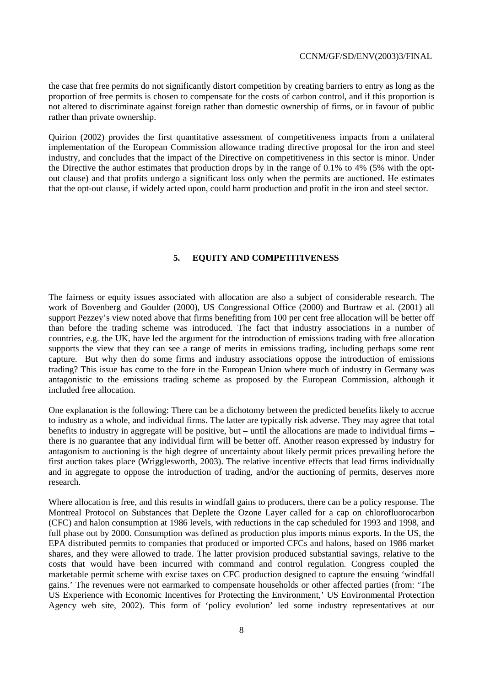the case that free permits do not significantly distort competition by creating barriers to entry as long as the proportion of free permits is chosen to compensate for the costs of carbon control, and if this proportion is not altered to discriminate against foreign rather than domestic ownership of firms, or in favour of public rather than private ownership.

Quirion (2002) provides the first quantitative assessment of competitiveness impacts from a unilateral implementation of the European Commission allowance trading directive proposal for the iron and steel industry, and concludes that the impact of the Directive on competitiveness in this sector is minor. Under the Directive the author estimates that production drops by in the range of 0.1% to 4% (5% with the optout clause) and that profits undergo a significant loss only when the permits are auctioned. He estimates that the opt-out clause, if widely acted upon, could harm production and profit in the iron and steel sector.

# **5. EQUITY AND COMPETITIVENESS**

The fairness or equity issues associated with allocation are also a subject of considerable research. The work of Bovenberg and Goulder (2000), US Congressional Office (2000) and Burtraw et al. (2001) all support Pezzey's view noted above that firms benefiting from 100 per cent free allocation will be better off than before the trading scheme was introduced. The fact that industry associations in a number of countries, e.g. the UK, have led the argument for the introduction of emissions trading with free allocation supports the view that they can see a range of merits in emissions trading, including perhaps some rent capture. But why then do some firms and industry associations oppose the introduction of emissions trading? This issue has come to the fore in the European Union where much of industry in Germany was antagonistic to the emissions trading scheme as proposed by the European Commission, although it included free allocation.

One explanation is the following: There can be a dichotomy between the predicted benefits likely to accrue to industry as a whole, and individual firms. The latter are typically risk adverse. They may agree that total benefits to industry in aggregate will be positive, but – until the allocations are made to individual firms – there is no guarantee that any individual firm will be better off. Another reason expressed by industry for antagonism to auctioning is the high degree of uncertainty about likely permit prices prevailing before the first auction takes place (Wrigglesworth, 2003). The relative incentive effects that lead firms individually and in aggregate to oppose the introduction of trading, and/or the auctioning of permits, deserves more research.

Where allocation is free, and this results in windfall gains to producers, there can be a policy response. The Montreal Protocol on Substances that Deplete the Ozone Layer called for a cap on chlorofluorocarbon (CFC) and halon consumption at 1986 levels, with reductions in the cap scheduled for 1993 and 1998, and full phase out by 2000. Consumption was defined as production plus imports minus exports. In the US, the EPA distributed permits to companies that produced or imported CFCs and halons, based on 1986 market shares, and they were allowed to trade. The latter provision produced substantial savings, relative to the costs that would have been incurred with command and control regulation. Congress coupled the marketable permit scheme with excise taxes on CFC production designed to capture the ensuing 'windfall gains.' The revenues were not earmarked to compensate households or other affected parties (from: 'The US Experience with Economic Incentives for Protecting the Environment,' US Environmental Protection Agency web site, 2002). This form of 'policy evolution' led some industry representatives at our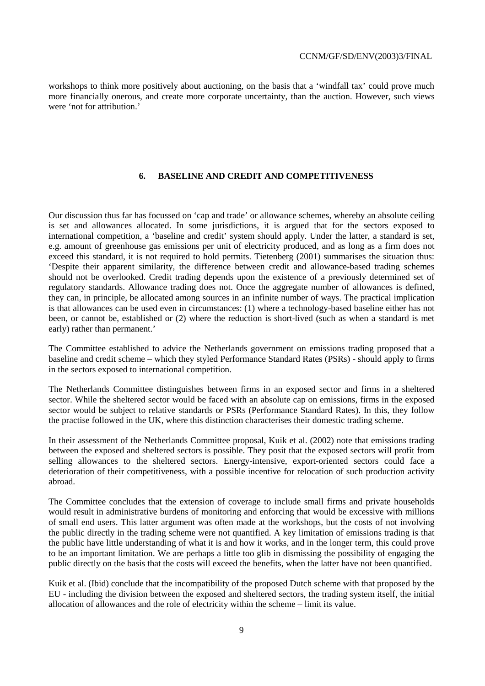workshops to think more positively about auctioning, on the basis that a 'windfall tax' could prove much more financially onerous, and create more corporate uncertainty, than the auction. However, such views were 'not for attribution.'

# **6. BASELINE AND CREDIT AND COMPETITIVENESS**

Our discussion thus far has focussed on 'cap and trade' or allowance schemes, whereby an absolute ceiling is set and allowances allocated. In some jurisdictions, it is argued that for the sectors exposed to international competition, a 'baseline and credit' system should apply. Under the latter, a standard is set, e.g. amount of greenhouse gas emissions per unit of electricity produced, and as long as a firm does not exceed this standard, it is not required to hold permits. Tietenberg (2001) summarises the situation thus: 'Despite their apparent similarity, the difference between credit and allowance-based trading schemes should not be overlooked. Credit trading depends upon the existence of a previously determined set of regulatory standards. Allowance trading does not. Once the aggregate number of allowances is defined, they can, in principle, be allocated among sources in an infinite number of ways. The practical implication is that allowances can be used even in circumstances: (1) where a technology-based baseline either has not been, or cannot be, established or (2) where the reduction is short-lived (such as when a standard is met early) rather than permanent.'

The Committee established to advice the Netherlands government on emissions trading proposed that a baseline and credit scheme – which they styled Performance Standard Rates (PSRs) - should apply to firms in the sectors exposed to international competition.

The Netherlands Committee distinguishes between firms in an exposed sector and firms in a sheltered sector. While the sheltered sector would be faced with an absolute cap on emissions, firms in the exposed sector would be subject to relative standards or PSRs (Performance Standard Rates). In this, they follow the practise followed in the UK, where this distinction characterises their domestic trading scheme.

In their assessment of the Netherlands Committee proposal, Kuik et al. (2002) note that emissions trading between the exposed and sheltered sectors is possible. They posit that the exposed sectors will profit from selling allowances to the sheltered sectors. Energy-intensive, export-oriented sectors could face a deterioration of their competitiveness, with a possible incentive for relocation of such production activity abroad.

The Committee concludes that the extension of coverage to include small firms and private households would result in administrative burdens of monitoring and enforcing that would be excessive with millions of small end users. This latter argument was often made at the workshops, but the costs of not involving the public directly in the trading scheme were not quantified. A key limitation of emissions trading is that the public have little understanding of what it is and how it works, and in the longer term, this could prove to be an important limitation. We are perhaps a little too glib in dismissing the possibility of engaging the public directly on the basis that the costs will exceed the benefits, when the latter have not been quantified.

Kuik et al. (Ibid) conclude that the incompatibility of the proposed Dutch scheme with that proposed by the EU - including the division between the exposed and sheltered sectors, the trading system itself, the initial allocation of allowances and the role of electricity within the scheme – limit its value.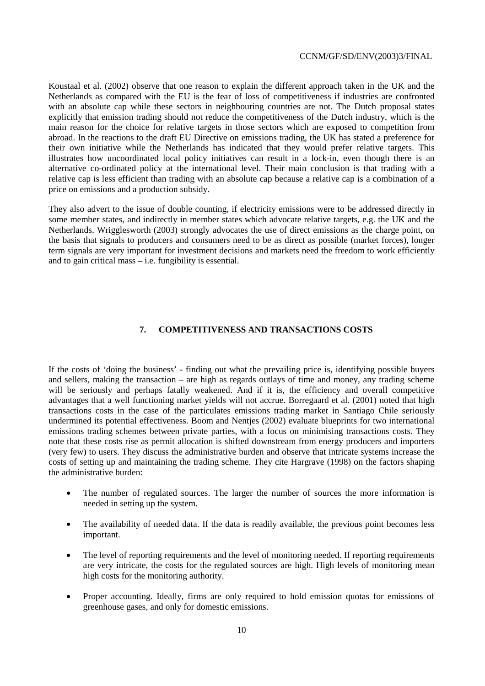Koustaal et al. (2002) observe that one reason to explain the different approach taken in the UK and the Netherlands as compared with the EU is the fear of loss of competitiveness if industries are confronted with an absolute cap while these sectors in neighbouring countries are not. The Dutch proposal states explicitly that emission trading should not reduce the competitiveness of the Dutch industry, which is the main reason for the choice for relative targets in those sectors which are exposed to competition from abroad. In the reactions to the draft EU Directive on emissions trading, the UK has stated a preference for their own initiative while the Netherlands has indicated that they would prefer relative targets. This illustrates how uncoordinated local policy initiatives can result in a lock-in, even though there is an alternative co-ordinated policy at the international level. Their main conclusion is that trading with a relative cap is less efficient than trading with an absolute cap because a relative cap is a combination of a price on emissions and a production subsidy.

They also advert to the issue of double counting, if electricity emissions were to be addressed directly in some member states, and indirectly in member states which advocate relative targets, e.g. the UK and the Netherlands. Wrigglesworth (2003) strongly advocates the use of direct emissions as the charge point, on the basis that signals to producers and consumers need to be as direct as possible (market forces), longer term signals are very important for investment decisions and markets need the freedom to work efficiently and to gain critical mass – i.e. fungibility is essential.

### **7. COMPETITIVENESS AND TRANSACTIONS COSTS**

If the costs of 'doing the business' - finding out what the prevailing price is, identifying possible buyers and sellers, making the transaction – are high as regards outlays of time and money, any trading scheme will be seriously and perhaps fatally weakened. And if it is, the efficiency and overall competitive advantages that a well functioning market yields will not accrue. Borregaard et al. (2001) noted that high transactions costs in the case of the particulates emissions trading market in Santiago Chile seriously undermined its potential effectiveness. Boom and Nentjes (2002) evaluate blueprints for two international emissions trading schemes between private parties, with a focus on minimising transactions costs. They note that these costs rise as permit allocation is shifted downstream from energy producers and importers (very few) to users. They discuss the administrative burden and observe that intricate systems increase the costs of setting up and maintaining the trading scheme. They cite Hargrave (1998) on the factors shaping the administrative burden:

- The number of regulated sources. The larger the number of sources the more information is needed in setting up the system.
- The availability of needed data. If the data is readily available, the previous point becomes less important.
- The level of reporting requirements and the level of monitoring needed. If reporting requirements are very intricate, the costs for the regulated sources are high. High levels of monitoring mean high costs for the monitoring authority.
- Proper accounting. Ideally, firms are only required to hold emission quotas for emissions of greenhouse gases, and only for domestic emissions.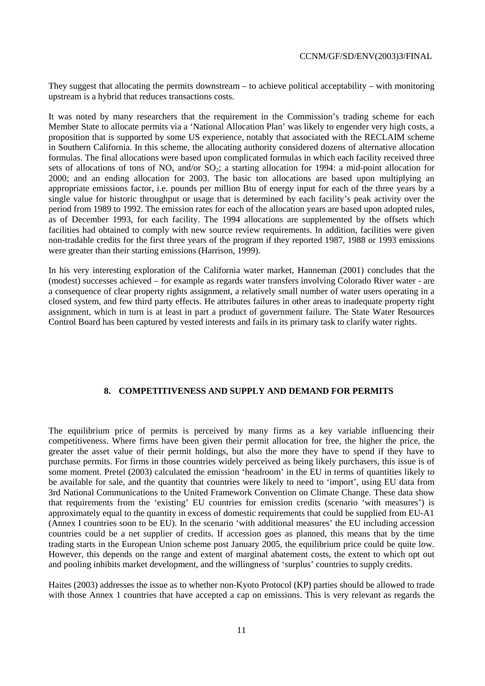They suggest that allocating the permits downstream – to achieve political acceptability – with monitoring upstream is a hybrid that reduces transactions costs.

It was noted by many researchers that the requirement in the Commission's trading scheme for each Member State to allocate permits via a 'National Allocation Plan' was likely to engender very high costs, a proposition that is supported by some US experience, notably that associated with the RECLAIM scheme in Southern California. In this scheme, the allocating authority considered dozens of alternative allocation formulas. The final allocations were based upon complicated formulas in which each facility received three sets of allocations of tons of NO<sub>x</sub> and/or SO<sub>2</sub>; a starting allocation for 1994: a mid-point allocation for 2000; and an ending allocation for 2003. The basic ton allocations are based upon multiplying an appropriate emissions factor, i.e. pounds per million Btu of energy input for each of the three years by a single value for historic throughput or usage that is determined by each facility's peak activity over the period from 1989 to 1992. The emission rates for each of the allocation years are based upon adopted rules, as of December 1993, for each facility. The 1994 allocations are supplemented by the offsets which facilities had obtained to comply with new source review requirements. In addition, facilities were given non-tradable credits for the first three years of the program if they reported 1987, 1988 or 1993 emissions were greater than their starting emissions (Harrison, 1999).

In his very interesting exploration of the California water market, Hanneman (2001) concludes that the (modest) successes achieved – for example as regards water transfers involving Colorado River water - are a consequence of clear property rights assignment, a relatively small number of water users operating in a closed system, and few third party effects. He attributes failures in other areas to inadequate property right assignment, which in turn is at least in part a product of government failure. The State Water Resources Control Board has been captured by vested interests and fails in its primary task to clarify water rights.

### **8. COMPETITIVENESS AND SUPPLY AND DEMAND FOR PERMITS**

The equilibrium price of permits is perceived by many firms as a key variable influencing their competitiveness. Where firms have been given their permit allocation for free, the higher the price, the greater the asset value of their permit holdings, but also the more they have to spend if they have to purchase permits. For firms in those countries widely perceived as being likely purchasers, this issue is of some moment. Pretel (2003) calculated the emission 'headroom' in the EU in terms of quantities likely to be available for sale, and the quantity that countries were likely to need to 'import', using EU data from 3rd National Communications to the United Framework Convention on Climate Change. These data show that requirements from the 'existing' EU countries for emission credits (scenario 'with measures') is approximately equal to the quantity in excess of domestic requirements that could be supplied from EU-A1 (Annex I countries soon to be EU). In the scenario 'with additional measures' the EU including accession countries could be a net supplier of credits. If accession goes as planned, this means that by the time trading starts in the European Union scheme post January 2005, the equilibrium price could be quite low. However, this depends on the range and extent of marginal abatement costs, the extent to which opt out and pooling inhibits market development, and the willingness of 'surplus' countries to supply credits.

Haites (2003) addresses the issue as to whether non-Kyoto Protocol (KP) parties should be allowed to trade with those Annex 1 countries that have accepted a cap on emissions. This is very relevant as regards the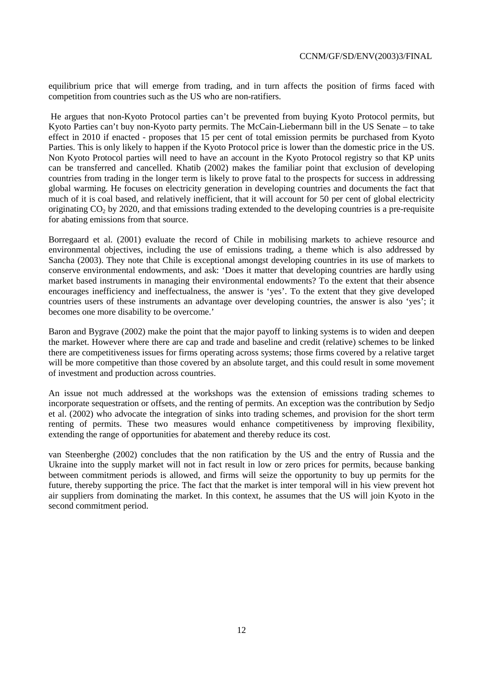equilibrium price that will emerge from trading, and in turn affects the position of firms faced with competition from countries such as the US who are non-ratifiers.

 He argues that non-Kyoto Protocol parties can't be prevented from buying Kyoto Protocol permits, but Kyoto Parties can't buy non-Kyoto party permits. The McCain-Liebermann bill in the US Senate – to take effect in 2010 if enacted - proposes that 15 per cent of total emission permits be purchased from Kyoto Parties. This is only likely to happen if the Kyoto Protocol price is lower than the domestic price in the US. Non Kyoto Protocol parties will need to have an account in the Kyoto Protocol registry so that KP units can be transferred and cancelled. Khatib (2002) makes the familiar point that exclusion of developing countries from trading in the longer term is likely to prove fatal to the prospects for success in addressing global warming. He focuses on electricity generation in developing countries and documents the fact that much of it is coal based, and relatively inefficient, that it will account for 50 per cent of global electricity originating  $CO<sub>2</sub>$  by 2020, and that emissions trading extended to the developing countries is a pre-requisite for abating emissions from that source.

Borregaard et al. (2001) evaluate the record of Chile in mobilising markets to achieve resource and environmental objectives, including the use of emissions trading, a theme which is also addressed by Sancha (2003). They note that Chile is exceptional amongst developing countries in its use of markets to conserve environmental endowments, and ask: 'Does it matter that developing countries are hardly using market based instruments in managing their environmental endowments? To the extent that their absence encourages inefficiency and ineffectualness, the answer is 'yes'. To the extent that they give developed countries users of these instruments an advantage over developing countries, the answer is also 'yes'; it becomes one more disability to be overcome.'

Baron and Bygrave (2002) make the point that the major payoff to linking systems is to widen and deepen the market. However where there are cap and trade and baseline and credit (relative) schemes to be linked there are competitiveness issues for firms operating across systems; those firms covered by a relative target will be more competitive than those covered by an absolute target, and this could result in some movement of investment and production across countries.

An issue not much addressed at the workshops was the extension of emissions trading schemes to incorporate sequestration or offsets, and the renting of permits. An exception was the contribution by Sedjo et al. (2002) who advocate the integration of sinks into trading schemes, and provision for the short term renting of permits. These two measures would enhance competitiveness by improving flexibility, extending the range of opportunities for abatement and thereby reduce its cost.

van Steenberghe (2002) concludes that the non ratification by the US and the entry of Russia and the Ukraine into the supply market will not in fact result in low or zero prices for permits, because banking between commitment periods is allowed, and firms will seize the opportunity to buy up permits for the future, thereby supporting the price. The fact that the market is inter temporal will in his view prevent hot air suppliers from dominating the market. In this context, he assumes that the US will join Kyoto in the second commitment period.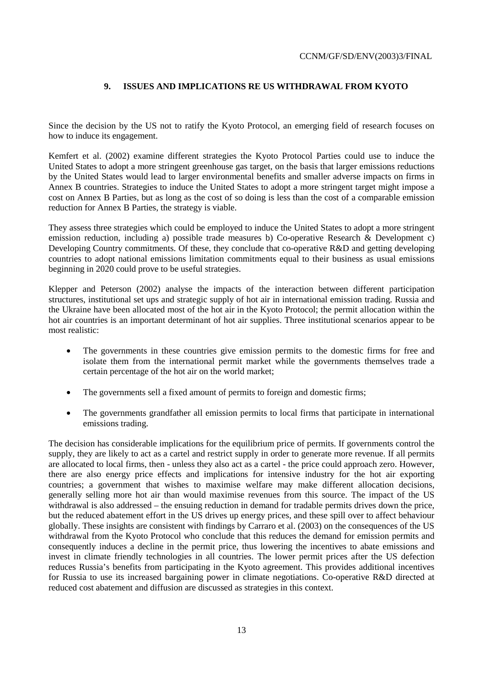# **9. ISSUES AND IMPLICATIONS RE US WITHDRAWAL FROM KYOTO**

Since the decision by the US not to ratify the Kyoto Protocol, an emerging field of research focuses on how to induce its engagement.

Kemfert et al. (2002) examine different strategies the Kyoto Protocol Parties could use to induce the United States to adopt a more stringent greenhouse gas target, on the basis that larger emissions reductions by the United States would lead to larger environmental benefits and smaller adverse impacts on firms in Annex B countries. Strategies to induce the United States to adopt a more stringent target might impose a cost on Annex B Parties, but as long as the cost of so doing is less than the cost of a comparable emission reduction for Annex B Parties, the strategy is viable.

They assess three strategies which could be employed to induce the United States to adopt a more stringent emission reduction, including a) possible trade measures b) Co-operative Research & Development c) Developing Country commitments. Of these, they conclude that co-operative R&D and getting developing countries to adopt national emissions limitation commitments equal to their business as usual emissions beginning in 2020 could prove to be useful strategies.

Klepper and Peterson (2002) analyse the impacts of the interaction between different participation structures, institutional set ups and strategic supply of hot air in international emission trading. Russia and the Ukraine have been allocated most of the hot air in the Kyoto Protocol; the permit allocation within the hot air countries is an important determinant of hot air supplies. Three institutional scenarios appear to be most realistic:

- The governments in these countries give emission permits to the domestic firms for free and isolate them from the international permit market while the governments themselves trade a certain percentage of the hot air on the world market;
- The governments sell a fixed amount of permits to foreign and domestic firms;
- The governments grandfather all emission permits to local firms that participate in international emissions trading.

The decision has considerable implications for the equilibrium price of permits. If governments control the supply, they are likely to act as a cartel and restrict supply in order to generate more revenue. If all permits are allocated to local firms, then - unless they also act as a cartel - the price could approach zero. However, there are also energy price effects and implications for intensive industry for the hot air exporting countries; a government that wishes to maximise welfare may make different allocation decisions, generally selling more hot air than would maximise revenues from this source. The impact of the US withdrawal is also addressed – the ensuing reduction in demand for tradable permits drives down the price, but the reduced abatement effort in the US drives up energy prices, and these spill over to affect behaviour globally. These insights are consistent with findings by Carraro et al. (2003) on the consequences of the US withdrawal from the Kyoto Protocol who conclude that this reduces the demand for emission permits and consequently induces a decline in the permit price, thus lowering the incentives to abate emissions and invest in climate friendly technologies in all countries. The lower permit prices after the US defection reduces Russia's benefits from participating in the Kyoto agreement. This provides additional incentives for Russia to use its increased bargaining power in climate negotiations. Co-operative R&D directed at reduced cost abatement and diffusion are discussed as strategies in this context.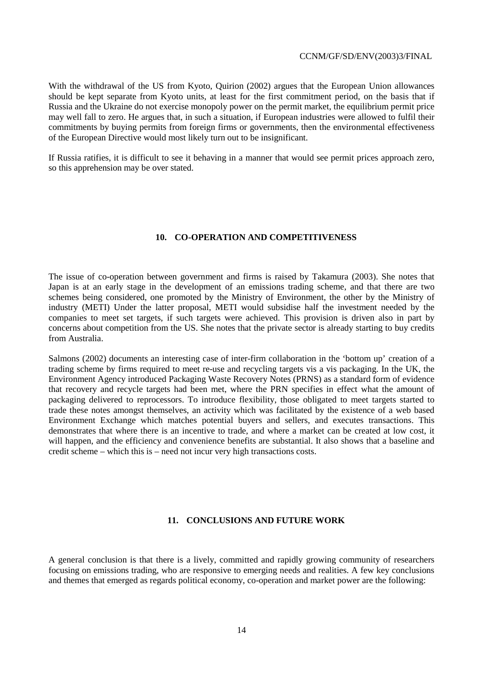With the withdrawal of the US from Kyoto, Quirion (2002) argues that the European Union allowances should be kept separate from Kyoto units, at least for the first commitment period, on the basis that if Russia and the Ukraine do not exercise monopoly power on the permit market, the equilibrium permit price may well fall to zero. He argues that, in such a situation, if European industries were allowed to fulfil their commitments by buying permits from foreign firms or governments, then the environmental effectiveness of the European Directive would most likely turn out to be insignificant.

If Russia ratifies, it is difficult to see it behaving in a manner that would see permit prices approach zero, so this apprehension may be over stated.

## **10. CO-OPERATION AND COMPETITIVENESS**

The issue of co-operation between government and firms is raised by Takamura (2003). She notes that Japan is at an early stage in the development of an emissions trading scheme, and that there are two schemes being considered, one promoted by the Ministry of Environment, the other by the Ministry of industry (METI) Under the latter proposal, METI would subsidise half the investment needed by the companies to meet set targets, if such targets were achieved. This provision is driven also in part by concerns about competition from the US. She notes that the private sector is already starting to buy credits from Australia.

Salmons (2002) documents an interesting case of inter-firm collaboration in the 'bottom up' creation of a trading scheme by firms required to meet re-use and recycling targets vis a vis packaging. In the UK, the Environment Agency introduced Packaging Waste Recovery Notes (PRNS) as a standard form of evidence that recovery and recycle targets had been met, where the PRN specifies in effect what the amount of packaging delivered to reprocessors. To introduce flexibility, those obligated to meet targets started to trade these notes amongst themselves, an activity which was facilitated by the existence of a web based Environment Exchange which matches potential buyers and sellers, and executes transactions. This demonstrates that where there is an incentive to trade, and where a market can be created at low cost, it will happen, and the efficiency and convenience benefits are substantial. It also shows that a baseline and credit scheme – which this is – need not incur very high transactions costs.

### **11. CONCLUSIONS AND FUTURE WORK**

A general conclusion is that there is a lively, committed and rapidly growing community of researchers focusing on emissions trading, who are responsive to emerging needs and realities. A few key conclusions and themes that emerged as regards political economy, co-operation and market power are the following: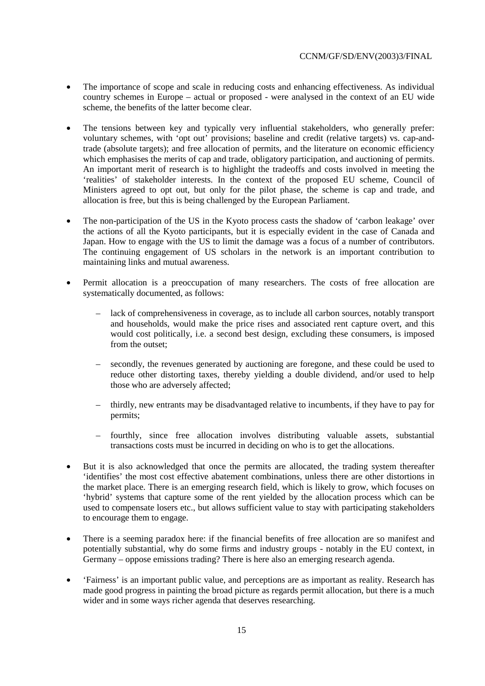- The importance of scope and scale in reducing costs and enhancing effectiveness. As individual country schemes in Europe – actual or proposed - were analysed in the context of an EU wide scheme, the benefits of the latter become clear.
- The tensions between key and typically very influential stakeholders, who generally prefer: voluntary schemes, with 'opt out' provisions; baseline and credit (relative targets) vs. cap-andtrade (absolute targets); and free allocation of permits, and the literature on economic efficiency which emphasises the merits of cap and trade, obligatory participation, and auctioning of permits. An important merit of research is to highlight the tradeoffs and costs involved in meeting the 'realities' of stakeholder interests. In the context of the proposed EU scheme, Council of Ministers agreed to opt out, but only for the pilot phase, the scheme is cap and trade, and allocation is free, but this is being challenged by the European Parliament.
- The non-participation of the US in the Kyoto process casts the shadow of 'carbon leakage' over the actions of all the Kyoto participants, but it is especially evident in the case of Canada and Japan. How to engage with the US to limit the damage was a focus of a number of contributors. The continuing engagement of US scholars in the network is an important contribution to maintaining links and mutual awareness.
- Permit allocation is a preoccupation of many researchers. The costs of free allocation are systematically documented, as follows:
	- lack of comprehensiveness in coverage, as to include all carbon sources, notably transport and households, would make the price rises and associated rent capture overt, and this would cost politically, i.e. a second best design, excluding these consumers, is imposed from the outset;
	- secondly, the revenues generated by auctioning are foregone, and these could be used to reduce other distorting taxes, thereby yielding a double dividend, and/or used to help those who are adversely affected;
	- thirdly, new entrants may be disadvantaged relative to incumbents, if they have to pay for permits;
	- fourthly, since free allocation involves distributing valuable assets, substantial transactions costs must be incurred in deciding on who is to get the allocations.
- But it is also acknowledged that once the permits are allocated, the trading system thereafter 'identifies' the most cost effective abatement combinations, unless there are other distortions in the market place. There is an emerging research field, which is likely to grow, which focuses on 'hybrid' systems that capture some of the rent yielded by the allocation process which can be used to compensate losers etc., but allows sufficient value to stay with participating stakeholders to encourage them to engage.
- There is a seeming paradox here: if the financial benefits of free allocation are so manifest and potentially substantial, why do some firms and industry groups - notably in the EU context, in Germany – oppose emissions trading? There is here also an emerging research agenda.
- 'Fairness' is an important public value, and perceptions are as important as reality. Research has made good progress in painting the broad picture as regards permit allocation, but there is a much wider and in some ways richer agenda that deserves researching.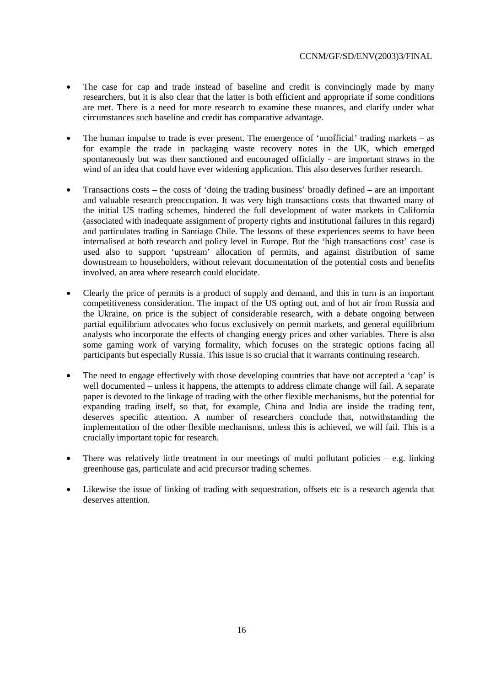- The case for cap and trade instead of baseline and credit is convincingly made by many researchers, but it is also clear that the latter is both efficient and appropriate if some conditions are met. There is a need for more research to examine these nuances, and clarify under what circumstances such baseline and credit has comparative advantage.
- The human impulse to trade is ever present. The emergence of 'unofficial' trading markets as for example the trade in packaging waste recovery notes in the UK, which emerged spontaneously but was then sanctioned and encouraged officially - are important straws in the wind of an idea that could have ever widening application. This also deserves further research.
- Transactions costs the costs of 'doing the trading business' broadly defined are an important and valuable research preoccupation. It was very high transactions costs that thwarted many of the initial US trading schemes, hindered the full development of water markets in California (associated with inadequate assignment of property rights and institutional failures in this regard) and particulates trading in Santiago Chile. The lessons of these experiences seems to have been internalised at both research and policy level in Europe. But the 'high transactions cost' case is used also to support 'upstream' allocation of permits, and against distribution of same downstream to householders, without relevant documentation of the potential costs and benefits involved, an area where research could elucidate.
- Clearly the price of permits is a product of supply and demand, and this in turn is an important competitiveness consideration. The impact of the US opting out, and of hot air from Russia and the Ukraine, on price is the subject of considerable research, with a debate ongoing between partial equilibrium advocates who focus exclusively on permit markets, and general equilibrium analysts who incorporate the effects of changing energy prices and other variables. There is also some gaming work of varying formality, which focuses on the strategic options facing all participants but especially Russia. This issue is so crucial that it warrants continuing research.
- The need to engage effectively with those developing countries that have not accepted a 'cap' is well documented – unless it happens, the attempts to address climate change will fail. A separate paper is devoted to the linkage of trading with the other flexible mechanisms, but the potential for expanding trading itself, so that, for example, China and India are inside the trading tent, deserves specific attention. A number of researchers conclude that, notwithstanding the implementation of the other flexible mechanisms, unless this is achieved, we will fail. This is a crucially important topic for research.
- There was relatively little treatment in our meetings of multi pollutant policies e.g. linking greenhouse gas, particulate and acid precursor trading schemes.
- Likewise the issue of linking of trading with sequestration, offsets etc is a research agenda that deserves attention.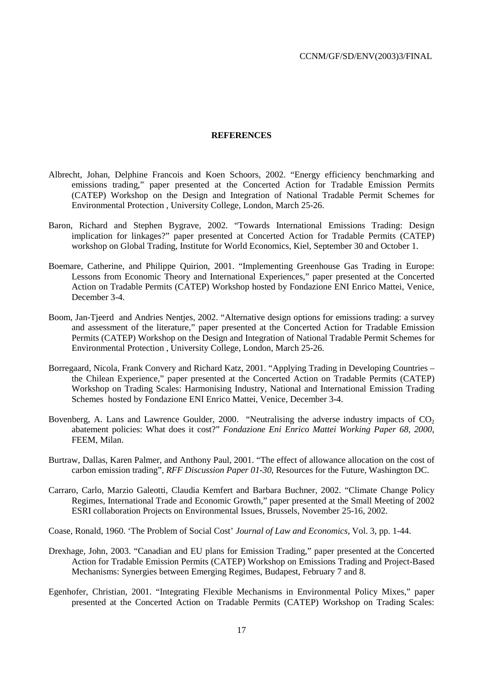### **REFERENCES**

- Albrecht, Johan, Delphine Francois and Koen Schoors, 2002. "Energy efficiency benchmarking and emissions trading," paper presented at the Concerted Action for Tradable Emission Permits (CATEP) Workshop on the Design and Integration of National Tradable Permit Schemes for Environmental Protection , University College, London, March 25-26.
- Baron, Richard and Stephen Bygrave, 2002. "Towards International Emissions Trading: Design implication for linkages?" paper presented at Concerted Action for Tradable Permits (CATEP) workshop on Global Trading, Institute for World Economics, Kiel, September 30 and October 1.
- Boemare, Catherine, and Philippe Quirion, 2001. "Implementing Greenhouse Gas Trading in Europe: Lessons from Economic Theory and International Experiences," paper presented at the Concerted Action on Tradable Permits (CATEP) Workshop hosted by Fondazione ENI Enrico Mattei, Venice, December 3-4.
- Boom, Jan-Tieerd and Andries Nenties, 2002. "Alternative design options for emissions trading: a survey and assessment of the literature," paper presented at the Concerted Action for Tradable Emission Permits (CATEP) Workshop on the Design and Integration of National Tradable Permit Schemes for Environmental Protection , University College, London, March 25-26.
- Borregaard, Nicola, Frank Convery and Richard Katz, 2001. "Applying Trading in Developing Countries the Chilean Experience," paper presented at the Concerted Action on Tradable Permits (CATEP) Workshop on Trading Scales: Harmonising Industry, National and International Emission Trading Schemes hosted by Fondazione ENI Enrico Mattei, Venice, December 3-4.
- Bovenberg, A. Lans and Lawrence Goulder, 2000. "Neutralising the adverse industry impacts of  $CO<sub>2</sub>$ abatement policies: What does it cost?" *Fondazione Eni Enrico Mattei Working Paper 68, 2000,* FEEM, Milan.
- Burtraw, Dallas, Karen Palmer, and Anthony Paul, 2001. "The effect of allowance allocation on the cost of carbon emission trading", *RFF Discussion Paper 01-30*, Resources for the Future, Washington DC.
- Carraro, Carlo, Marzio Galeotti, Claudia Kemfert and Barbara Buchner, 2002. "Climate Change Policy Regimes, International Trade and Economic Growth," paper presented at the Small Meeting of 2002 ESRI collaboration Projects on Environmental Issues, Brussels, November 25-16, 2002.

Coase, Ronald, 1960. 'The Problem of Social Cost' *Journal of Law and Economics*, Vol. 3, pp. 1-44.

- Drexhage, John, 2003. "Canadian and EU plans for Emission Trading," paper presented at the Concerted Action for Tradable Emission Permits (CATEP) Workshop on Emissions Trading and Project-Based Mechanisms: Synergies between Emerging Regimes, Budapest, February 7 and 8.
- Egenhofer, Christian, 2001. "Integrating Flexible Mechanisms in Environmental Policy Mixes," paper presented at the Concerted Action on Tradable Permits (CATEP) Workshop on Trading Scales: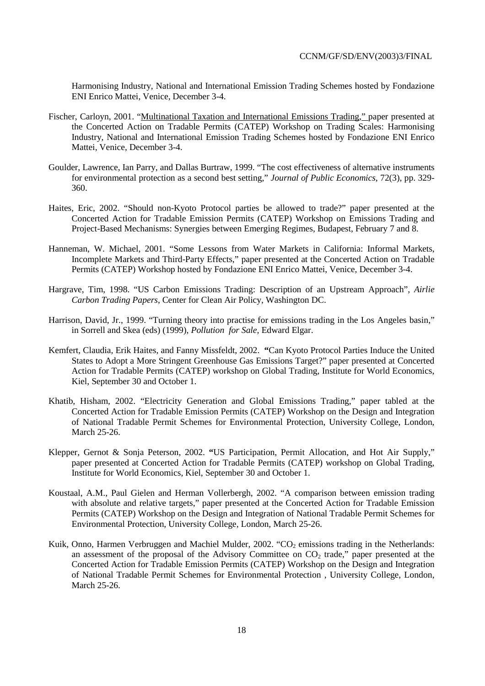Harmonising Industry, National and International Emission Trading Schemes hosted by Fondazione ENI Enrico Mattei, Venice, December 3-4.

- Fischer, Carloyn, 2001. "Multinational Taxation and International Emissions Trading," paper presented at the Concerted Action on Tradable Permits (CATEP) Workshop on Trading Scales: Harmonising Industry, National and International Emission Trading Schemes hosted by Fondazione ENI Enrico Mattei, Venice, December 3-4.
- Goulder, Lawrence, Ian Parry, and Dallas Burtraw, 1999. "The cost effectiveness of alternative instruments for environmental protection as a second best setting," *Journal of Public Economics*, 72(3), pp. 329- 360.
- Haites, Eric, 2002. "Should non-Kyoto Protocol parties be allowed to trade?" paper presented at the Concerted Action for Tradable Emission Permits (CATEP) Workshop on Emissions Trading and Project-Based Mechanisms: Synergies between Emerging Regimes, Budapest, February 7 and 8.
- Hanneman, W. Michael, 2001. "Some Lessons from Water Markets in California: Informal Markets, Incomplete Markets and Third-Party Effects," paper presented at the Concerted Action on Tradable Permits (CATEP) Workshop hosted by Fondazione ENI Enrico Mattei, Venice, December 3-4.
- Hargrave, Tim, 1998. "US Carbon Emissions Trading: Description of an Upstream Approach", *Airlie Carbon Trading Papers*, Center for Clean Air Policy, Washington DC.
- Harrison, David, Jr., 1999. "Turning theory into practise for emissions trading in the Los Angeles basin," in Sorrell and Skea (eds) (1999), *Pollution for Sale,* Edward Elgar.
- Kemfert, Claudia, Erik Haites, and Fanny Missfeldt, 2002. **"**Can Kyoto Protocol Parties Induce the United States to Adopt a More Stringent Greenhouse Gas Emissions Target?" paper presented at Concerted Action for Tradable Permits (CATEP) workshop on Global Trading, Institute for World Economics, Kiel, September 30 and October 1.
- Khatib, Hisham, 2002. "Electricity Generation and Global Emissions Trading," paper tabled at the Concerted Action for Tradable Emission Permits (CATEP) Workshop on the Design and Integration of National Tradable Permit Schemes for Environmental Protection, University College, London, March 25-26.
- Klepper, Gernot & Sonja Peterson, 2002. **"**US Participation, Permit Allocation, and Hot Air Supply," paper presented at Concerted Action for Tradable Permits (CATEP) workshop on Global Trading, Institute for World Economics, Kiel, September 30 and October 1.
- Koustaal, A.M., Paul Gielen and Herman Vollerbergh, 2002. "A comparison between emission trading with absolute and relative targets," paper presented at the Concerted Action for Tradable Emission Permits (CATEP) Workshop on the Design and Integration of National Tradable Permit Schemes for Environmental Protection, University College, London, March 25-26.
- Kuik, Onno, Harmen Verbruggen and Machiel Mulder, 2002. "CO<sub>2</sub> emissions trading in the Netherlands: an assessment of the proposal of the Advisory Committee on  $CO<sub>2</sub>$  trade," paper presented at the Concerted Action for Tradable Emission Permits (CATEP) Workshop on the Design and Integration of National Tradable Permit Schemes for Environmental Protection , University College, London, March 25-26.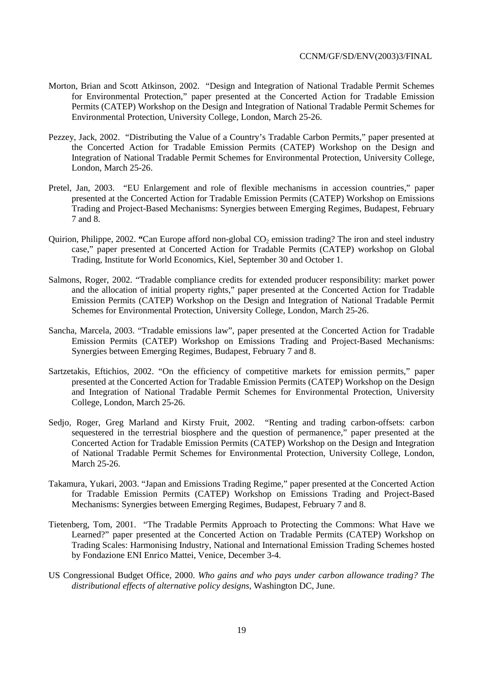- Morton, Brian and Scott Atkinson, 2002. "Design and Integration of National Tradable Permit Schemes for Environmental Protection," paper presented at the Concerted Action for Tradable Emission Permits (CATEP) Workshop on the Design and Integration of National Tradable Permit Schemes for Environmental Protection, University College, London, March 25-26.
- Pezzey, Jack, 2002. "Distributing the Value of a Country's Tradable Carbon Permits," paper presented at the Concerted Action for Tradable Emission Permits (CATEP) Workshop on the Design and Integration of National Tradable Permit Schemes for Environmental Protection, University College, London, March 25-26.
- Pretel, Jan, 2003. "EU Enlargement and role of flexible mechanisms in accession countries," paper presented at the Concerted Action for Tradable Emission Permits (CATEP) Workshop on Emissions Trading and Project-Based Mechanisms: Synergies between Emerging Regimes, Budapest, February 7 and 8.
- Quirion, Philippe, 2002. "Can Europe afford non-global CO<sub>2</sub> emission trading? The iron and steel industry case," paper presented at Concerted Action for Tradable Permits (CATEP) workshop on Global Trading, Institute for World Economics, Kiel, September 30 and October 1.
- Salmons, Roger, 2002. "Tradable compliance credits for extended producer responsibility: market power and the allocation of initial property rights," paper presented at the Concerted Action for Tradable Emission Permits (CATEP) Workshop on the Design and Integration of National Tradable Permit Schemes for Environmental Protection, University College, London, March 25-26.
- Sancha, Marcela, 2003. "Tradable emissions law", paper presented at the Concerted Action for Tradable Emission Permits (CATEP) Workshop on Emissions Trading and Project-Based Mechanisms: Synergies between Emerging Regimes, Budapest, February 7 and 8.
- Sartzetakis, Eftichios, 2002. "On the efficiency of competitive markets for emission permits," paper presented at the Concerted Action for Tradable Emission Permits (CATEP) Workshop on the Design and Integration of National Tradable Permit Schemes for Environmental Protection, University College, London, March 25-26.
- Sedjo, Roger, Greg Marland and Kirsty Fruit, 2002. "Renting and trading carbon-offsets: carbon sequestered in the terrestrial biosphere and the question of permanence," paper presented at the Concerted Action for Tradable Emission Permits (CATEP) Workshop on the Design and Integration of National Tradable Permit Schemes for Environmental Protection, University College, London, March 25-26.
- Takamura, Yukari, 2003. "Japan and Emissions Trading Regime," paper presented at the Concerted Action for Tradable Emission Permits (CATEP) Workshop on Emissions Trading and Project-Based Mechanisms: Synergies between Emerging Regimes, Budapest, February 7 and 8.
- Tietenberg, Tom, 2001. "The Tradable Permits Approach to Protecting the Commons: What Have we Learned?" paper presented at the Concerted Action on Tradable Permits (CATEP) Workshop on Trading Scales: Harmonising Industry, National and International Emission Trading Schemes hosted by Fondazione ENI Enrico Mattei, Venice, December 3-4.
- US Congressional Budget Office, 2000. *Who gains and who pays under carbon allowance trading? The distributional effects of alternative policy designs*, Washington DC, June.